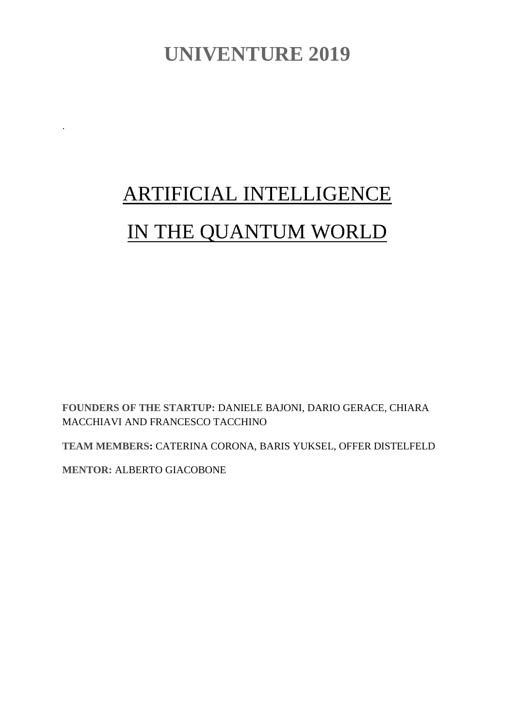# **UNIVENTURE 2019**

# ARTIFICIAL INTELLIGENCE IN THE QUANTUM WORLD

**FOUNDERS OF THE STARTUP:** DANIELE BAJONI, DARIO GERACE, CHIARA MACCHIAVI AND FRANCESCO TACCHINO

**TEAM MEMBERS:** CATERINA CORONA, BARIS YUKSEL, OFFER DISTELFELD

**MENTOR:** ALBERTO GIACOBONE

.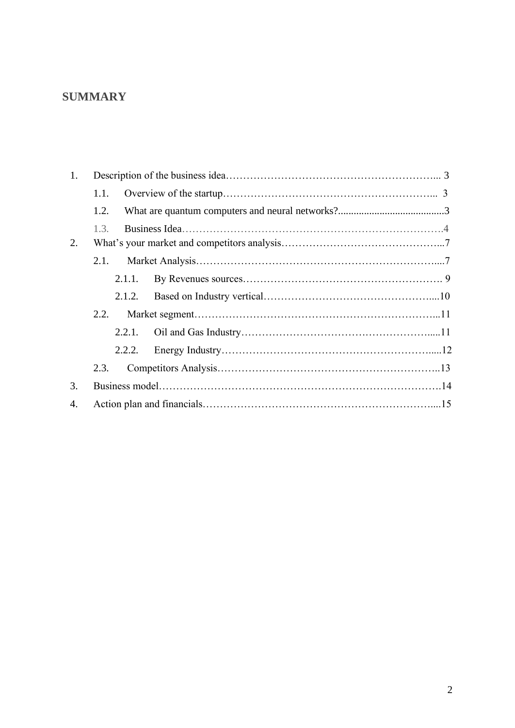## **SUMMARY**

| 1.                    |        |  |  |
|-----------------------|--------|--|--|
|                       | 1.1.   |  |  |
|                       | 1.2.   |  |  |
|                       | 1.3.   |  |  |
| 2.                    |        |  |  |
|                       |        |  |  |
|                       | 2.1.1. |  |  |
|                       | 2.1.2. |  |  |
|                       | 2.2.   |  |  |
|                       | 2.2.1. |  |  |
|                       | 2.2.2. |  |  |
|                       | 2.3.   |  |  |
| 3.                    |        |  |  |
| $\mathcal{A}_{\cdot}$ |        |  |  |